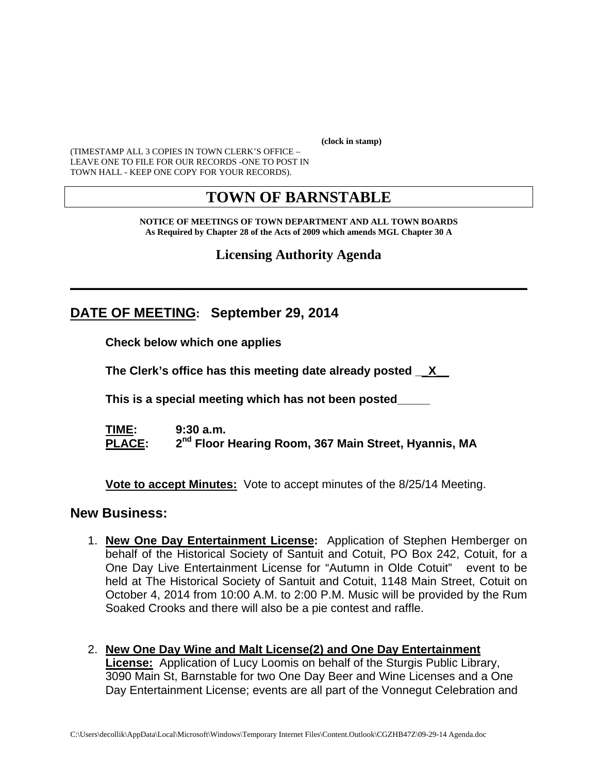**(clock in stamp)** 

(TIMESTAMP ALL 3 COPIES IN TOWN CLERK'S OFFICE – LEAVE ONE TO FILE FOR OUR RECORDS -ONE TO POST IN TOWN HALL - KEEP ONE COPY FOR YOUR RECORDS).

# **TOWN OF BARNSTABLE**

**NOTICE OF MEETINGS OF TOWN DEPARTMENT AND ALL TOWN BOARDS As Required by Chapter 28 of the Acts of 2009 which amends MGL Chapter 30 A** 

**Licensing Authority Agenda**

**\_\_\_\_\_\_\_\_\_\_\_\_\_\_\_\_\_\_\_\_\_\_\_\_\_\_\_\_\_\_\_\_\_\_\_\_\_\_\_\_\_\_\_\_\_\_\_\_\_\_\_\_\_\_\_\_\_\_\_\_**

**DATE OF MEETING: September 29, 2014**

**Check below which one applies** 

**The Clerk's office has this meeting date already posted \_\_X\_\_**

 **This is a special meeting which has not been posted\_\_\_\_\_** 

**TIME: 9:30 a.m.**  PLACE:  $2^{nd}$  Floor Hearing Room, 367 Main Street, Hyannis, MA

**Vote to accept Minutes:** Vote to accept minutes of the 8/25/14 Meeting.

#### **New Business:**

- 1. **New One Day Entertainment License:** Application of Stephen Hemberger on behalf of the Historical Society of Santuit and Cotuit, PO Box 242, Cotuit, for a One Day Live Entertainment License for "Autumn in Olde Cotuit" event to be held at The Historical Society of Santuit and Cotuit, 1148 Main Street, Cotuit on October 4, 2014 from 10:00 A.M. to 2:00 P.M. Music will be provided by the Rum Soaked Crooks and there will also be a pie contest and raffle.
- 2. **New One Day Wine and Malt License(2) and One Day Entertainment License:** Application of Lucy Loomis on behalf of the Sturgis Public Library, 3090 Main St, Barnstable for two One Day Beer and Wine Licenses and a One Day Entertainment License; events are all part of the Vonnegut Celebration and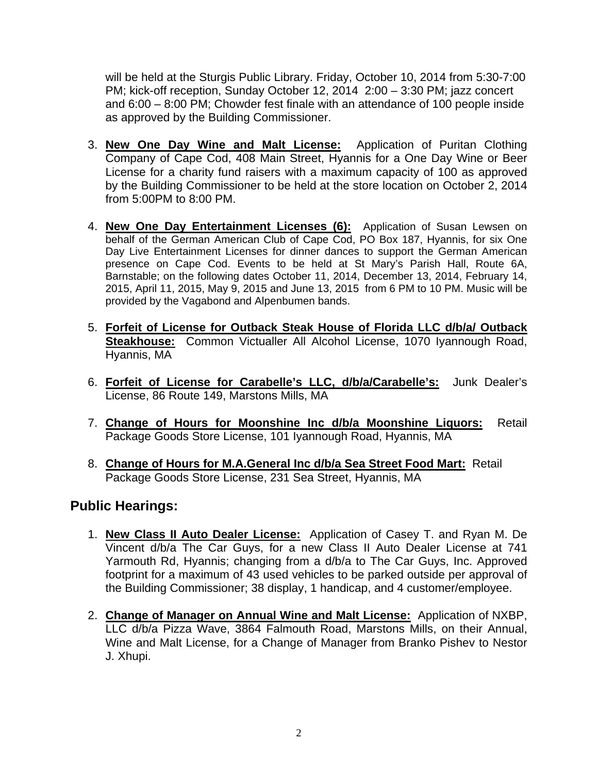will be held at the Sturgis Public Library. Friday, October 10, 2014 from 5:30-7:00 PM; kick-off reception, Sunday October 12, 2014 2:00 – 3:30 PM; jazz concert and 6:00 – 8:00 PM; Chowder fest finale with an attendance of 100 people inside as approved by the Building Commissioner.

- 3. **New One Day Wine and Malt License:** Application of Puritan Clothing Company of Cape Cod, 408 Main Street, Hyannis for a One Day Wine or Beer License for a charity fund raisers with a maximum capacity of 100 as approved by the Building Commissioner to be held at the store location on October 2, 2014 from 5:00PM to 8:00 PM.
- 4. **New One Day Entertainment Licenses (6):** Application of Susan Lewsen on behalf of the German American Club of Cape Cod, PO Box 187, Hyannis, for six One Day Live Entertainment Licenses for dinner dances to support the German American presence on Cape Cod. Events to be held at St Mary's Parish Hall, Route 6A, Barnstable; on the following dates October 11, 2014, December 13, 2014, February 14, 2015, April 11, 2015, May 9, 2015 and June 13, 2015 from 6 PM to 10 PM. Music will be provided by the Vagabond and Alpenbumen bands.
- 5. **Forfeit of License for Outback Steak House of Florida LLC d/b/a/ Outback Steakhouse:** Common Victualler All Alcohol License, 1070 Iyannough Road, Hyannis, MA
- 6. **Forfeit of License for Carabelle's LLC, d/b/a/Carabelle's:** Junk Dealer's License, 86 Route 149, Marstons Mills, MA
- 7. **Change of Hours for Moonshine Inc d/b/a Moonshine Liquors:** Retail Package Goods Store License, 101 Iyannough Road, Hyannis, MA
- 8. **Change of Hours for M.A.General Inc d/b/a Sea Street Food Mart:** Retail Package Goods Store License, 231 Sea Street, Hyannis, MA

## **Public Hearings:**

- 1. **New Class II Auto Dealer License:** Application of Casey T. and Ryan M. De Vincent d/b/a The Car Guys, for a new Class II Auto Dealer License at 741 Yarmouth Rd, Hyannis; changing from a d/b/a to The Car Guys, Inc. Approved footprint for a maximum of 43 used vehicles to be parked outside per approval of the Building Commissioner; 38 display, 1 handicap, and 4 customer/employee.
- 2. **Change of Manager on Annual Wine and Malt License:** Application of NXBP, LLC d/b/a Pizza Wave, 3864 Falmouth Road, Marstons Mills, on their Annual, Wine and Malt License, for a Change of Manager from Branko Pishev to Nestor J. Xhupi.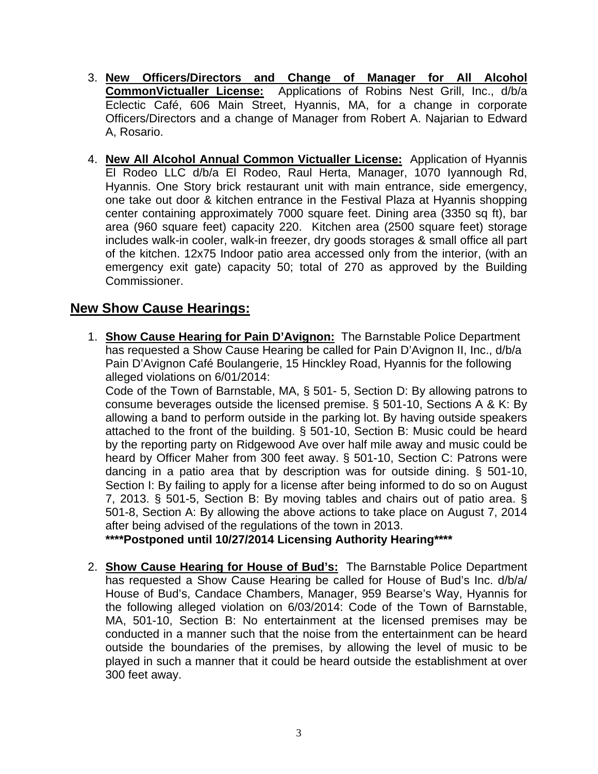- 3. **New Officers/Directors and Change of Manager for All Alcohol CommonVictualler License:** Applications of Robins Nest Grill, Inc., d/b/a Eclectic Café, 606 Main Street, Hyannis, MA, for a change in corporate Officers/Directors and a change of Manager from Robert A. Najarian to Edward A, Rosario.
- 4. **New All Alcohol Annual Common Victualler License:** Application of Hyannis El Rodeo LLC d/b/a El Rodeo, Raul Herta, Manager, 1070 Iyannough Rd, Hyannis. One Story brick restaurant unit with main entrance, side emergency, one take out door & kitchen entrance in the Festival Plaza at Hyannis shopping center containing approximately 7000 square feet. Dining area (3350 sq ft), bar area (960 square feet) capacity 220. Kitchen area (2500 square feet) storage includes walk-in cooler, walk-in freezer, dry goods storages & small office all part of the kitchen. 12x75 Indoor patio area accessed only from the interior, (with an emergency exit gate) capacity 50; total of 270 as approved by the Building Commissioner.

### **New Show Cause Hearings:**

1. **Show Cause Hearing for Pain D'Avignon:** The Barnstable Police Department has requested a Show Cause Hearing be called for Pain D'Avignon II, Inc., d/b/a Pain D'Avignon Café Boulangerie, 15 Hinckley Road, Hyannis for the following alleged violations on 6/01/2014:

Code of the Town of Barnstable, MA, § 501- 5, Section D: By allowing patrons to consume beverages outside the licensed premise. § 501-10, Sections A & K: By allowing a band to perform outside in the parking lot. By having outside speakers attached to the front of the building. § 501-10, Section B: Music could be heard by the reporting party on Ridgewood Ave over half mile away and music could be heard by Officer Maher from 300 feet away. § 501-10, Section C: Patrons were dancing in a patio area that by description was for outside dining. § 501-10, Section I: By failing to apply for a license after being informed to do so on August 7, 2013. § 501-5, Section B: By moving tables and chairs out of patio area. § 501-8, Section A: By allowing the above actions to take place on August 7, 2014 after being advised of the regulations of the town in 2013.

**\*\*\*\*Postponed until 10/27/2014 Licensing Authority Hearing\*\*\*\*** 

2. **Show Cause Hearing for House of Bud's:** The Barnstable Police Department has requested a Show Cause Hearing be called for House of Bud's Inc. d/b/a/ House of Bud's, Candace Chambers, Manager, 959 Bearse's Way, Hyannis for the following alleged violation on 6/03/2014: Code of the Town of Barnstable, MA, 501-10, Section B: No entertainment at the licensed premises may be conducted in a manner such that the noise from the entertainment can be heard outside the boundaries of the premises, by allowing the level of music to be played in such a manner that it could be heard outside the establishment at over 300 feet away.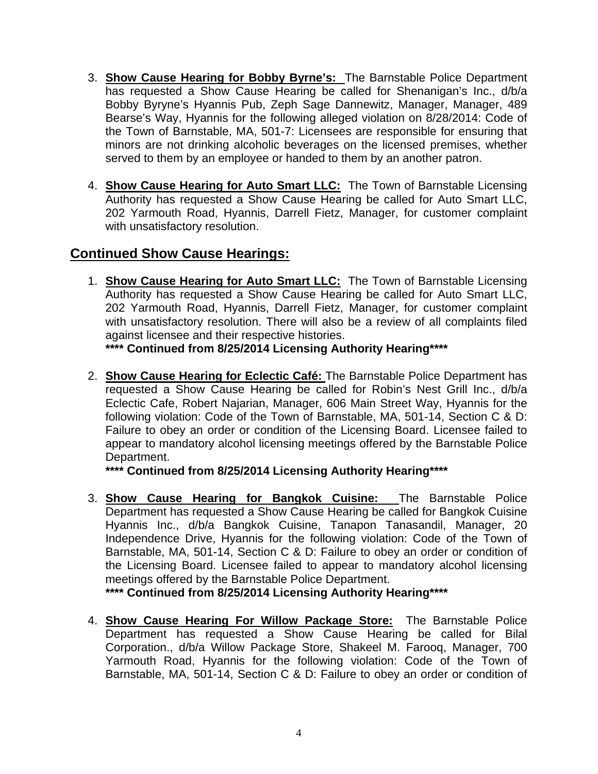- 3. **Show Cause Hearing for Bobby Byrne's:** The Barnstable Police Department has requested a Show Cause Hearing be called for Shenanigan's Inc., d/b/a Bobby Byryne's Hyannis Pub, Zeph Sage Dannewitz, Manager, Manager, 489 Bearse's Way, Hyannis for the following alleged violation on 8/28/2014: Code of the Town of Barnstable, MA, 501-7: Licensees are responsible for ensuring that minors are not drinking alcoholic beverages on the licensed premises, whether served to them by an employee or handed to them by an another patron.
- 4. **Show Cause Hearing for Auto Smart LLC:** The Town of Barnstable Licensing Authority has requested a Show Cause Hearing be called for Auto Smart LLC, 202 Yarmouth Road, Hyannis, Darrell Fietz, Manager, for customer complaint with unsatisfactory resolution.

# **Continued Show Cause Hearings:**

1. **Show Cause Hearing for Auto Smart LLC:** The Town of Barnstable Licensing Authority has requested a Show Cause Hearing be called for Auto Smart LLC, 202 Yarmouth Road, Hyannis, Darrell Fietz, Manager, for customer complaint with unsatisfactory resolution. There will also be a review of all complaints filed against licensee and their respective histories.

**\*\*\*\* Continued from 8/25/2014 Licensing Authority Hearing\*\*\*\*** 

2. **Show Cause Hearing for Eclectic Café:** The Barnstable Police Department has requested a Show Cause Hearing be called for Robin's Nest Grill Inc., d/b/a Eclectic Cafe, Robert Najarian, Manager, 606 Main Street Way, Hyannis for the following violation: Code of the Town of Barnstable, MA, 501-14, Section C & D: Failure to obey an order or condition of the Licensing Board. Licensee failed to appear to mandatory alcohol licensing meetings offered by the Barnstable Police Department.

**\*\*\*\* Continued from 8/25/2014 Licensing Authority Hearing\*\*\*\*** 

3. **Show Cause Hearing for Bangkok Cuisine:** The Barnstable Police Department has requested a Show Cause Hearing be called for Bangkok Cuisine Hyannis Inc., d/b/a Bangkok Cuisine, Tanapon Tanasandil, Manager, 20 Independence Drive, Hyannis for the following violation: Code of the Town of Barnstable, MA, 501-14, Section C & D: Failure to obey an order or condition of the Licensing Board. Licensee failed to appear to mandatory alcohol licensing meetings offered by the Barnstable Police Department.

**\*\*\*\* Continued from 8/25/2014 Licensing Authority Hearing\*\*\*\*** 

4. **Show Cause Hearing For Willow Package Store:** The Barnstable Police Department has requested a Show Cause Hearing be called for Bilal Corporation., d/b/a Willow Package Store, Shakeel M. Farooq, Manager, 700 Yarmouth Road, Hyannis for the following violation: Code of the Town of Barnstable, MA, 501-14, Section C & D: Failure to obey an order or condition of